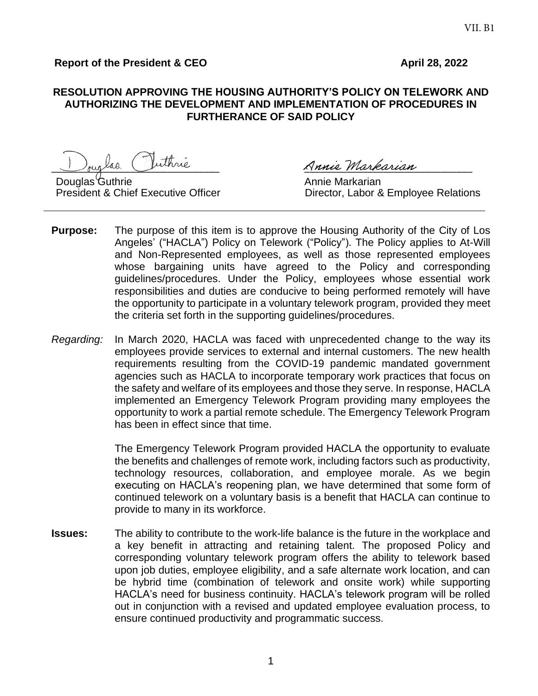# **Report of the President & CEO April 28, 2022**

#### **RESOLUTION APPROVING THE HOUSING AUTHORITY'S POLICY ON TELEWORK AND AUTHORIZING THE DEVELOPMENT AND IMPLEMENTATION OF PROCEDURES IN FURTHERANCE OF SAID POLICY**

ouglas Inthrie Annie Markarian

Douglas Guthrie **Communist Control Control Control Control** Annie Markarian<br>President & Chief Executive Officer **Annie Control Control Control Control** Director. Labor &

Director, Labor & Employee Relations

- **Purpose:** The purpose of this item is to approve the Housing Authority of the City of Los Angeles' ("HACLA") Policy on Telework ("Policy"). The Policy applies to At-Will and Non-Represented employees, as well as those represented employees whose bargaining units have agreed to the Policy and corresponding guidelines/procedures. Under the Policy, employees whose essential work responsibilities and duties are conducive to being performed remotely will have the opportunity to participate in a voluntary telework program, provided they meet the criteria set forth in the supporting guidelines/procedures.
- *Regarding:* In March 2020, HACLA was faced with unprecedented change to the way its employees provide services to external and internal customers. The new health requirements resulting from the COVID-19 pandemic mandated government agencies such as HACLA to incorporate temporary work practices that focus on the safety and welfare of its employees and those they serve. In response, HACLA implemented an Emergency Telework Program providing many employees the opportunity to work a partial remote schedule. The Emergency Telework Program has been in effect since that time.

The Emergency Telework Program provided HACLA the opportunity to evaluate the benefits and challenges of remote work, including factors such as productivity, technology resources, collaboration, and employee morale. As we begin executing on HACLA's reopening plan, we have determined that some form of continued telework on a voluntary basis is a benefit that HACLA can continue to provide to many in its workforce.

**Issues:** The ability to contribute to the work-life balance is the future in the workplace and a key benefit in attracting and retaining talent. The proposed Policy and corresponding voluntary telework program offers the ability to telework based upon job duties, employee eligibility, and a safe alternate work location, and can be hybrid time (combination of telework and onsite work) while supporting HACLA's need for business continuity. HACLA's telework program will be rolled out in conjunction with a revised and updated employee evaluation process, to ensure continued productivity and programmatic success.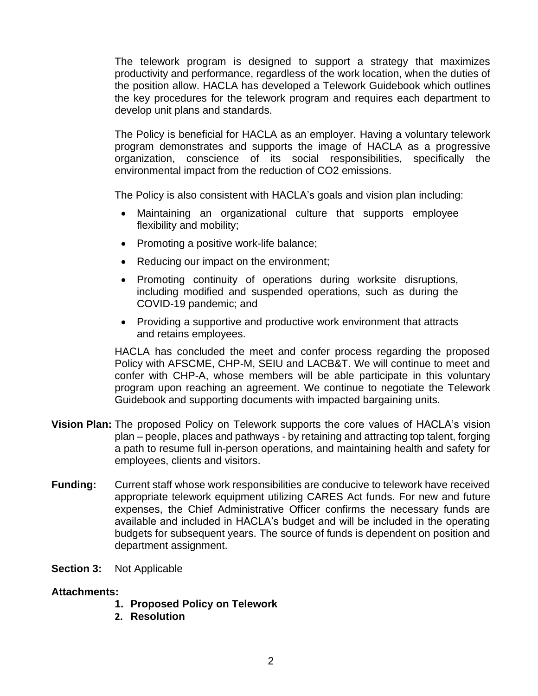The telework program is designed to support a strategy that maximizes productivity and performance, regardless of the work location, when the duties of the position allow. HACLA has developed a Telework Guidebook which outlines the key procedures for the telework program and requires each department to develop unit plans and standards.

The Policy is beneficial for HACLA as an employer. Having a voluntary telework program demonstrates and supports the image of HACLA as a progressive organization, conscience of its social responsibilities, specifically the environmental impact from the reduction of CO2 emissions.

The Policy is also consistent with HACLA's goals and vision plan including:

- Maintaining an organizational culture that supports employee flexibility and mobility;
- Promoting a positive work-life balance;
- Reducing our impact on the environment;
- Promoting continuity of operations during worksite disruptions, including modified and suspended operations, such as during the COVID-19 pandemic; and
- Providing a supportive and productive work environment that attracts and retains employees.

HACLA has concluded the meet and confer process regarding the proposed Policy with AFSCME, CHP-M, SEIU and LACB&T. We will continue to meet and confer with CHP-A, whose members will be able participate in this voluntary program upon reaching an agreement. We continue to negotiate the Telework Guidebook and supporting documents with impacted bargaining units.

- **Vision Plan:** The proposed Policy on Telework supports the core values of HACLA's vision plan – people, places and pathways - by retaining and attracting top talent, forging a path to resume full in-person operations, and maintaining health and safety for employees, clients and visitors.
- **Funding:** Current staff whose work responsibilities are conducive to telework have received appropriate telework equipment utilizing CARES Act funds. For new and future expenses, the Chief Administrative Officer confirms the necessary funds are available and included in HACLA's budget and will be included in the operating budgets for subsequent years. The source of funds is dependent on position and department assignment.
- **Section 3:** Not Applicable

#### **Attachments:**

- **1. Proposed Policy on Telework**
- **2. Resolution**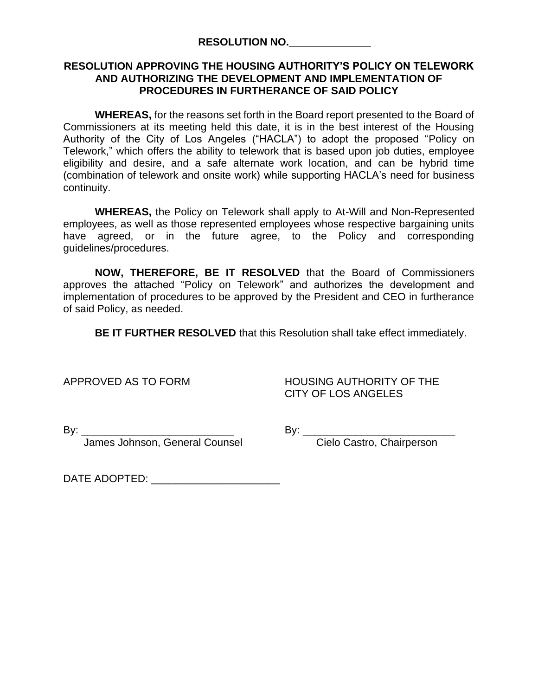# **RESOLUTION APPROVING THE HOUSING AUTHORITY'S POLICY ON TELEWORK AND AUTHORIZING THE DEVELOPMENT AND IMPLEMENTATION OF PROCEDURES IN FURTHERANCE OF SAID POLICY**

**WHEREAS,** for the reasons set forth in the Board report presented to the Board of Commissioners at its meeting held this date, it is in the best interest of the Housing Authority of the City of Los Angeles ("HACLA") to adopt the proposed "Policy on Telework," which offers the ability to telework that is based upon job duties, employee eligibility and desire, and a safe alternate work location, and can be hybrid time (combination of telework and onsite work) while supporting HACLA's need for business continuity.

**WHEREAS,** the Policy on Telework shall apply to At-Will and Non-Represented employees, as well as those represented employees whose respective bargaining units have agreed, or in the future agree, to the Policy and corresponding guidelines/procedures.

**NOW, THEREFORE, BE IT RESOLVED** that the Board of Commissioners approves the attached "Policy on Telework" and authorizes the development and implementation of procedures to be approved by the President and CEO in furtherance of said Policy, as needed.

**BE IT FURTHER RESOLVED** that this Resolution shall take effect immediately.

APPROVED AS TO FORM HOUSING AUTHORITY OF THE CITY OF LOS ANGELES

James Johnson, General Counsel **Connect Connect Connect Cielo Castro**, Chairperson

By: \_\_\_\_\_\_\_\_\_\_\_\_\_\_\_\_\_\_\_\_\_\_\_\_\_\_ By: \_\_\_\_\_\_\_\_\_\_\_\_\_\_\_\_\_\_\_\_\_\_\_\_\_\_

DATE ADOPTED:  $\blacksquare$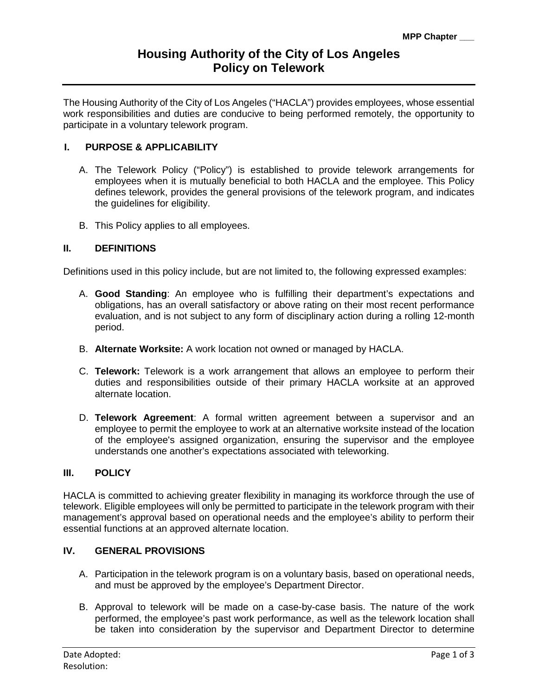The Housing Authority of the City of Los Angeles ("HACLA") provides employees, whose essential work responsibilities and duties are conducive to being performed remotely, the opportunity to participate in a voluntary telework program.

# **I. PURPOSE & APPLICABILITY**

- A. The Telework Policy ("Policy") is established to provide telework arrangements for employees when it is mutually beneficial to both HACLA and the employee. This Policy defines telework, provides the general provisions of the telework program, and indicates the guidelines for eligibility.
- B. This Policy applies to all employees.

#### **II. DEFINITIONS**

Definitions used in this policy include, but are not limited to, the following expressed examples:

- A. **Good Standing**: An employee who is fulfilling their department's expectations and obligations, has an overall satisfactory or above rating on their most recent performance evaluation, and is not subject to any form of disciplinary action during a rolling 12-month period.
- B. **Alternate Worksite:** A work location not owned or managed by HACLA.
- C. **Telework:** Telework is a work arrangement that allows an employee to perform their duties and responsibilities outside of their primary HACLA worksite at an approved alternate location.
- D. **Telework Agreement**: A formal written agreement between a supervisor and an employee to permit the employee to work at an alternative worksite instead of the location of the employee's assigned organization, ensuring the supervisor and the employee understands one another's expectations associated with teleworking.

# **III. POLICY**

HACLA is committed to achieving greater flexibility in managing its workforce through the use of telework. Eligible employees will only be permitted to participate in the telework program with their management's approval based on operational needs and the employee's ability to perform their essential functions at an approved alternate location.

# **IV. GENERAL PROVISIONS**

- A. Participation in the telework program is on a voluntary basis, based on operational needs, and must be approved by the employee's Department Director.
- B. Approval to telework will be made on a case-by-case basis. The nature of the work performed, the employee's past work performance, as well as the telework location shall be taken into consideration by the supervisor and Department Director to determine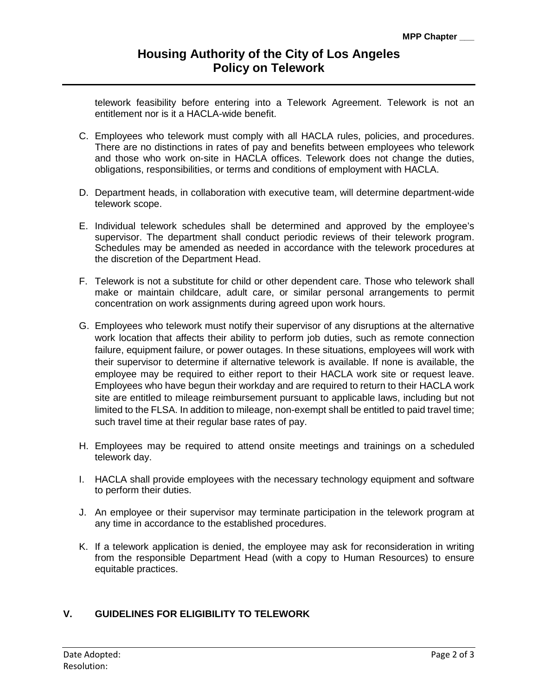telework feasibility before entering into a Telework Agreement. Telework is not an entitlement nor is it a HACLA-wide benefit.

- C. Employees who telework must comply with all HACLA rules, policies, and procedures. There are no distinctions in rates of pay and benefits between employees who telework and those who work on-site in HACLA offices. Telework does not change the duties, obligations, responsibilities, or terms and conditions of employment with HACLA.
- D. Department heads, in collaboration with executive team, will determine department-wide telework scope.
- E. Individual telework schedules shall be determined and approved by the employee's supervisor. The department shall conduct periodic reviews of their telework program. Schedules may be amended as needed in accordance with the telework procedures at the discretion of the Department Head.
- F. Telework is not a substitute for child or other dependent care. Those who telework shall make or maintain childcare, adult care, or similar personal arrangements to permit concentration on work assignments during agreed upon work hours.
- G. Employees who telework must notify their supervisor of any disruptions at the alternative work location that affects their ability to perform job duties, such as remote connection failure, equipment failure, or power outages. In these situations, employees will work with their supervisor to determine if alternative telework is available. If none is available, the employee may be required to either report to their HACLA work site or request leave. Employees who have begun their workday and are required to return to their HACLA work site are entitled to mileage reimbursement pursuant to applicable laws, including but not limited to the FLSA. In addition to mileage, non-exempt shall be entitled to paid travel time; such travel time at their regular base rates of pay.
- H. Employees may be required to attend onsite meetings and trainings on a scheduled telework day.
- I. HACLA shall provide employees with the necessary technology equipment and software to perform their duties.
- J. An employee or their supervisor may terminate participation in the telework program at any time in accordance to the established procedures.
- K. If a telework application is denied, the employee may ask for reconsideration in writing from the responsible Department Head (with a copy to Human Resources) to ensure equitable practices.

# **V. GUIDELINES FOR ELIGIBILITY TO TELEWORK**